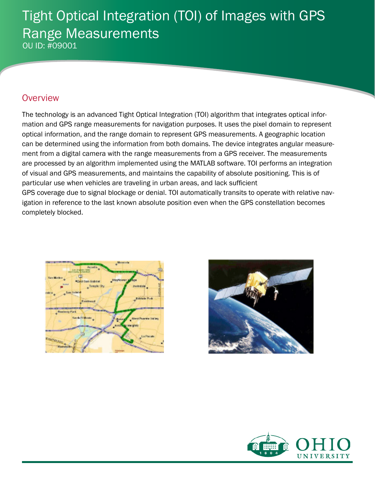# Tight Optical Integration (TOI) of Images with GPS Range Measurements OU ID: #09001

### **Overview**

The technology is an advanced Tight Optical Integration (TOI) algorithm that integrates optical information and GPS range measurements for navigation purposes. It uses the pixel domain to represent optical information, and the range domain to represent GPS measurements. A geographic location can be determined using the information from both domains. The device integrates angular measurement from a digital camera with the range measurements from a GPS receiver. The measurements are processed by an algorithm implemented using the MATLAB software. TOI performs an integration of visual and GPS measurements, and maintains the capability of absolute positioning. This is of particular use when vehicles are traveling in urban areas, and lack sufficient GPS coverage due to signal blockage or denial. TOI automatically transits to operate with relative navigation in reference to the last known absolute position even when the GPS constellation becomes completely blocked.